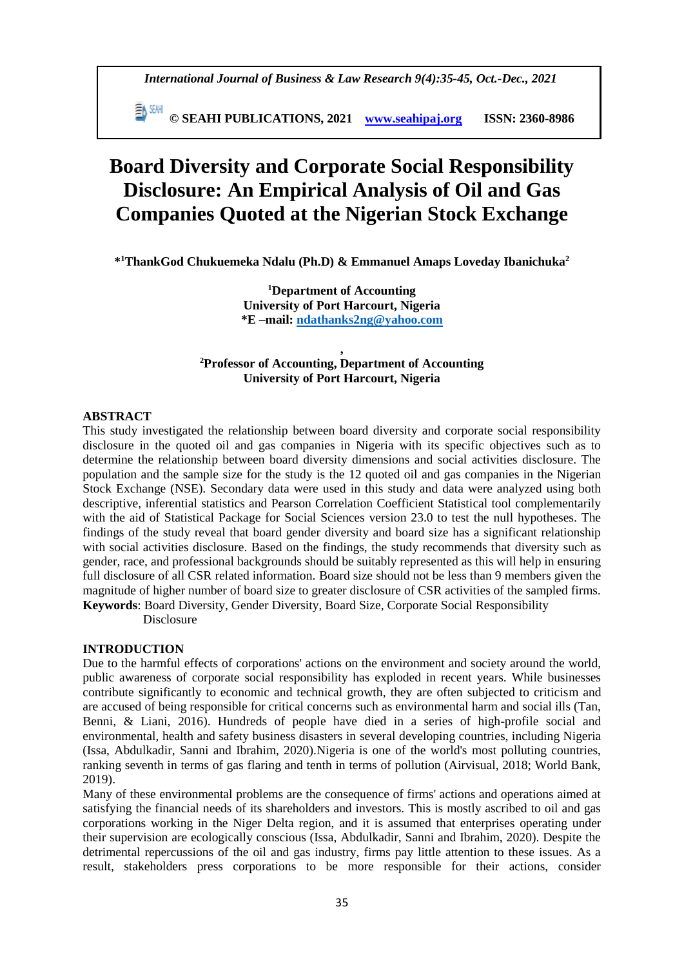**© SEAHI PUBLICATIONS, 2021 [www.seahipaj.org](http://www.seahipaj.org/) ISSN: 2360-8986**

# **Board Diversity and Corporate Social Responsibility Disclosure: An Empirical Analysis of Oil and Gas Companies Quoted at the Nigerian Stock Exchange**

**\* <sup>1</sup>ThankGod Chukuemeka Ndalu (Ph.D) & Emmanuel Amaps Loveday Ibanichuka<sup>2</sup>**

**<sup>1</sup>Department of Accounting University of Port Harcourt, Nigeria \*E –mail: [ndathanks2ng@yahoo.com](mailto:ndathanks2ng@yahoo.com)**

**, <sup>2</sup>Professor of Accounting, Department of Accounting University of Port Harcourt, Nigeria**

#### **ABSTRACT**

This study investigated the relationship between board diversity and corporate social responsibility disclosure in the quoted oil and gas companies in Nigeria with its specific objectives such as to determine the relationship between board diversity dimensions and social activities disclosure. The population and the sample size for the study is the 12 quoted oil and gas companies in the Nigerian Stock Exchange (NSE). Secondary data were used in this study and data were analyzed using both descriptive, inferential statistics and Pearson Correlation Coefficient Statistical tool complementarily with the aid of Statistical Package for Social Sciences version 23.0 to test the null hypotheses. The findings of the study reveal that board gender diversity and board size has a significant relationship with social activities disclosure. Based on the findings, the study recommends that diversity such as gender, race, and professional backgrounds should be suitably represented as this will help in ensuring full disclosure of all CSR related information. Board size should not be less than 9 members given the magnitude of higher number of board size to greater disclosure of CSR activities of the sampled firms. **Keywords**: Board Diversity, Gender Diversity, Board Size, Corporate Social Responsibility

Disclosure

#### **INTRODUCTION**

Due to the harmful effects of corporations' actions on the environment and society around the world, public awareness of corporate social responsibility has exploded in recent years. While businesses contribute significantly to economic and technical growth, they are often subjected to criticism and are accused of being responsible for critical concerns such as environmental harm and social ills (Tan, Benni, & Liani, 2016). Hundreds of people have died in a series of high-profile social and environmental, health and safety business disasters in several developing countries, including Nigeria (Issa, Abdulkadir, Sanni and Ibrahim, 2020).Nigeria is one of the world's most polluting countries, ranking seventh in terms of gas flaring and tenth in terms of pollution (Airvisual, 2018; World Bank, 2019).

Many of these environmental problems are the consequence of firms' actions and operations aimed at satisfying the financial needs of its shareholders and investors. This is mostly ascribed to oil and gas corporations working in the Niger Delta region, and it is assumed that enterprises operating under their supervision are ecologically conscious (Issa, Abdulkadir, Sanni and Ibrahim, 2020). Despite the detrimental repercussions of the oil and gas industry, firms pay little attention to these issues. As a result, stakeholders press corporations to be more responsible for their actions, consider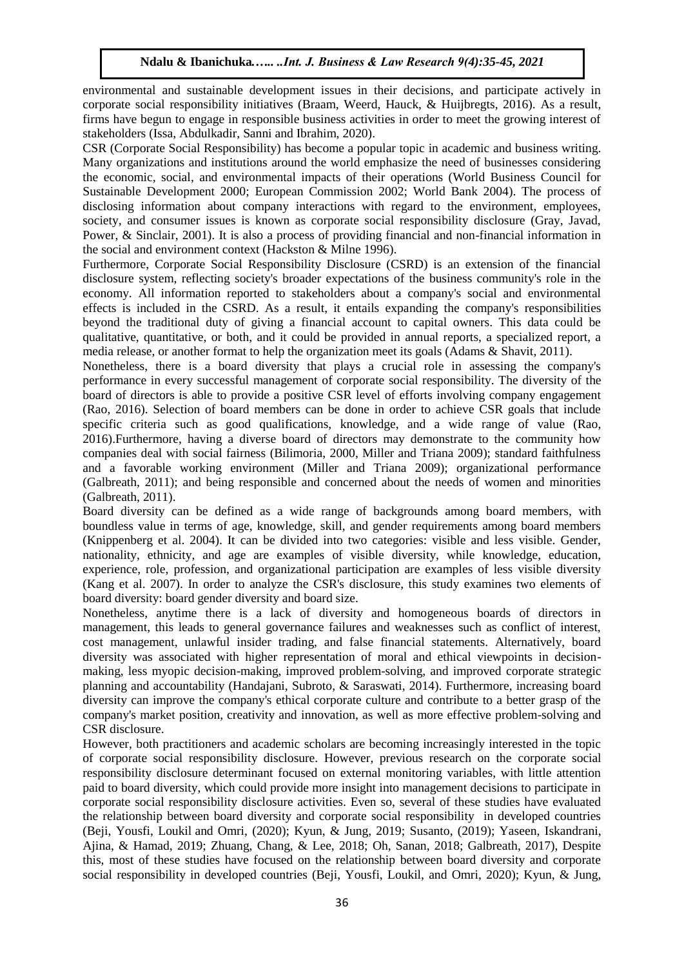environmental and sustainable development issues in their decisions, and participate actively in corporate social responsibility initiatives (Braam, Weerd, Hauck, & Huijbregts, 2016). As a result, firms have begun to engage in responsible business activities in order to meet the growing interest of stakeholders (Issa, Abdulkadir, Sanni and Ibrahim, 2020).

CSR (Corporate Social Responsibility) has become a popular topic in academic and business writing. Many organizations and institutions around the world emphasize the need of businesses considering the economic, social, and environmental impacts of their operations (World Business Council for Sustainable Development 2000; European Commission 2002; World Bank 2004). The process of disclosing information about company interactions with regard to the environment, employees, society, and consumer issues is known as corporate social responsibility disclosure (Gray, Javad, Power, & Sinclair, 2001). It is also a process of providing financial and non-financial information in the social and environment context (Hackston & Milne 1996).

Furthermore, Corporate Social Responsibility Disclosure (CSRD) is an extension of the financial disclosure system, reflecting society's broader expectations of the business community's role in the economy. All information reported to stakeholders about a company's social and environmental effects is included in the CSRD. As a result, it entails expanding the company's responsibilities beyond the traditional duty of giving a financial account to capital owners. This data could be qualitative, quantitative, or both, and it could be provided in annual reports, a specialized report, a media release, or another format to help the organization meet its goals (Adams & Shavit, 2011).

Nonetheless, there is a board diversity that plays a crucial role in assessing the company's performance in every successful management of corporate social responsibility. The diversity of the board of directors is able to provide a positive CSR level of efforts involving company engagement (Rao, 2016). Selection of board members can be done in order to achieve CSR goals that include specific criteria such as good qualifications, knowledge, and a wide range of value (Rao, 2016).Furthermore, having a diverse board of directors may demonstrate to the community how companies deal with social fairness (Bilimoria, 2000, Miller and Triana 2009); standard faithfulness and a favorable working environment (Miller and Triana 2009); organizational performance (Galbreath, 2011); and being responsible and concerned about the needs of women and minorities (Galbreath, 2011).

Board diversity can be defined as a wide range of backgrounds among board members, with boundless value in terms of age, knowledge, skill, and gender requirements among board members (Knippenberg et al. 2004). It can be divided into two categories: visible and less visible. Gender, nationality, ethnicity, and age are examples of visible diversity, while knowledge, education, experience, role, profession, and organizational participation are examples of less visible diversity (Kang et al. 2007). In order to analyze the CSR's disclosure, this study examines two elements of board diversity: board gender diversity and board size.

Nonetheless, anytime there is a lack of diversity and homogeneous boards of directors in management, this leads to general governance failures and weaknesses such as conflict of interest, cost management, unlawful insider trading, and false financial statements. Alternatively, board diversity was associated with higher representation of moral and ethical viewpoints in decisionmaking, less myopic decision-making, improved problem-solving, and improved corporate strategic planning and accountability (Handajani, Subroto, & Saraswati, 2014). Furthermore, increasing board diversity can improve the company's ethical corporate culture and contribute to a better grasp of the company's market position, creativity and innovation, as well as more effective problem-solving and CSR disclosure.

However, both practitioners and academic scholars are becoming increasingly interested in the topic of corporate social responsibility disclosure. However, previous research on the corporate social responsibility disclosure determinant focused on external monitoring variables, with little attention paid to board diversity, which could provide more insight into management decisions to participate in corporate social responsibility disclosure activities. Even so, several of these studies have evaluated the relationship between board diversity and corporate social responsibility in developed countries (Beji, Yousfi, Loukil and Omri, (2020); Kyun, & Jung, 2019; Susanto, (2019); Yaseen, Iskandrani, Ajina, & Hamad, 2019; Zhuang, Chang, & Lee, 2018; Oh, Sanan, 2018; Galbreath, 2017), Despite this, most of these studies have focused on the relationship between board diversity and corporate social responsibility in developed countries (Beji, Yousfi, Loukil, and Omri, 2020); Kyun, & Jung,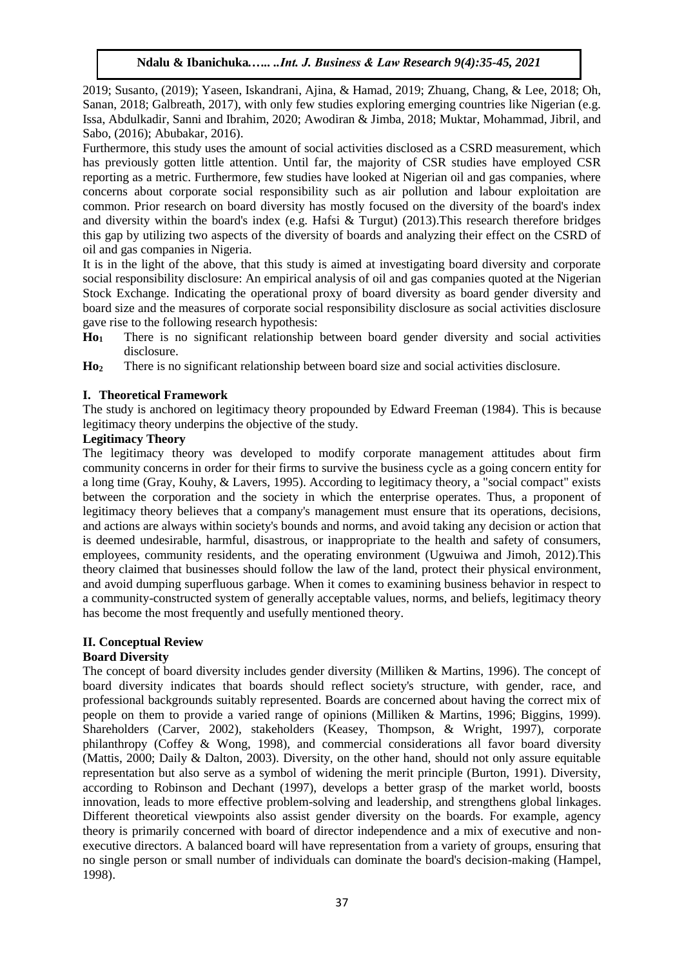2019; Susanto, (2019); Yaseen, Iskandrani, Ajina, & Hamad, 2019; Zhuang, Chang, & Lee, 2018; Oh, Sanan, 2018; Galbreath, 2017), with only few studies exploring emerging countries like Nigerian (e.g. Issa, Abdulkadir, Sanni and Ibrahim, 2020; Awodiran & Jimba, 2018; Muktar, Mohammad, Jibril, and Sabo, (2016); Abubakar, 2016).

Furthermore, this study uses the amount of social activities disclosed as a CSRD measurement, which has previously gotten little attention. Until far, the majority of CSR studies have employed CSR reporting as a metric. Furthermore, few studies have looked at Nigerian oil and gas companies, where concerns about corporate social responsibility such as air pollution and labour exploitation are common. Prior research on board diversity has mostly focused on the diversity of the board's index and diversity within the board's index (e.g. Hafsi & Turgut) (2013).This research therefore bridges this gap by utilizing two aspects of the diversity of boards and analyzing their effect on the CSRD of oil and gas companies in Nigeria.

It is in the light of the above, that this study is aimed at investigating board diversity and corporate social responsibility disclosure: An empirical analysis of oil and gas companies quoted at the Nigerian Stock Exchange. Indicating the operational proxy of board diversity as board gender diversity and board size and the measures of corporate social responsibility disclosure as social activities disclosure gave rise to the following research hypothesis:

- **Ho<sup>1</sup>** There is no significant relationship between board gender diversity and social activities disclosure.
- **Ho<sup>2</sup>** There is no significant relationship between board size and social activities disclosure.

## **I. Theoretical Framework**

The study is anchored on legitimacy theory propounded by Edward Freeman (1984). This is because legitimacy theory underpins the objective of the study.

## **Legitimacy Theory**

The legitimacy theory was developed to modify corporate management attitudes about firm community concerns in order for their firms to survive the business cycle as a going concern entity for a long time (Gray, Kouhy, & Lavers, 1995). According to legitimacy theory, a "social compact" exists between the corporation and the society in which the enterprise operates. Thus, a proponent of legitimacy theory believes that a company's management must ensure that its operations, decisions, and actions are always within society's bounds and norms, and avoid taking any decision or action that is deemed undesirable, harmful, disastrous, or inappropriate to the health and safety of consumers, employees, community residents, and the operating environment (Ugwuiwa and Jimoh, 2012).This theory claimed that businesses should follow the law of the land, protect their physical environment, and avoid dumping superfluous garbage. When it comes to examining business behavior in respect to a community-constructed system of generally acceptable values, norms, and beliefs, legitimacy theory has become the most frequently and usefully mentioned theory.

# **II. Conceptual Review**

## **Board Diversity**

The concept of board diversity includes gender diversity (Milliken & Martins, 1996). The concept of board diversity indicates that boards should reflect society's structure, with gender, race, and professional backgrounds suitably represented. Boards are concerned about having the correct mix of people on them to provide a varied range of opinions (Milliken & Martins, 1996; Biggins, 1999). Shareholders (Carver, 2002), stakeholders (Keasey, Thompson, & Wright, 1997), corporate philanthropy (Coffey & Wong, 1998), and commercial considerations all favor board diversity (Mattis, 2000; Daily & Dalton, 2003). Diversity, on the other hand, should not only assure equitable representation but also serve as a symbol of widening the merit principle (Burton, 1991). Diversity, according to Robinson and Dechant (1997), develops a better grasp of the market world, boosts innovation, leads to more effective problem-solving and leadership, and strengthens global linkages. Different theoretical viewpoints also assist gender diversity on the boards. For example, agency theory is primarily concerned with board of director independence and a mix of executive and nonexecutive directors. A balanced board will have representation from a variety of groups, ensuring that no single person or small number of individuals can dominate the board's decision-making (Hampel, 1998).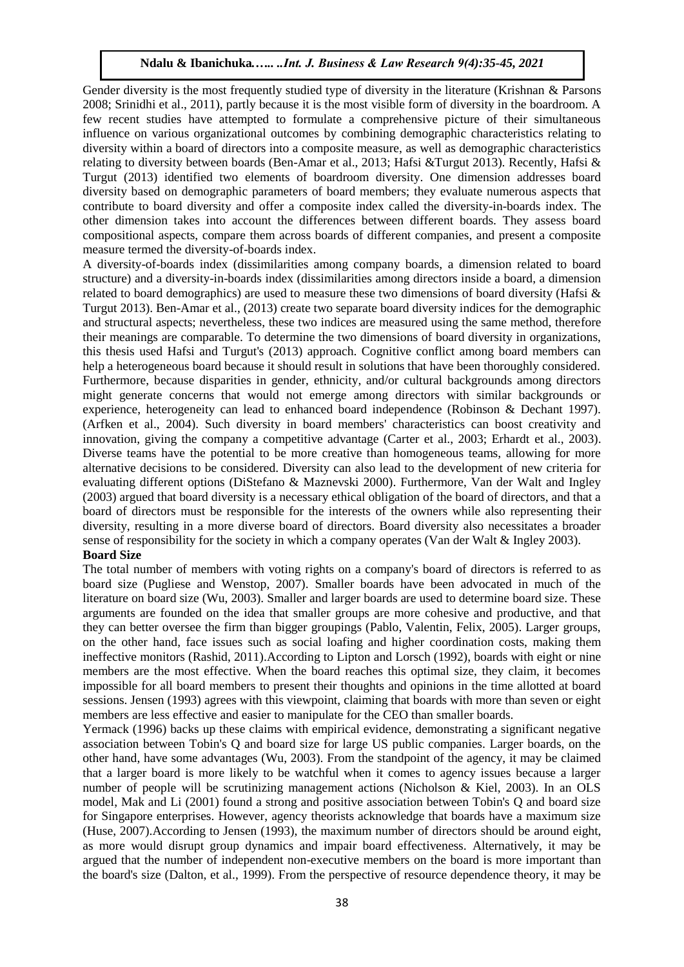Gender diversity is the most frequently studied type of diversity in the literature (Krishnan & Parsons 2008; Srinidhi et al., 2011), partly because it is the most visible form of diversity in the boardroom. A few recent studies have attempted to formulate a comprehensive picture of their simultaneous influence on various organizational outcomes by combining demographic characteristics relating to diversity within a board of directors into a composite measure, as well as demographic characteristics relating to diversity between boards (Ben-Amar et al., 2013; Hafsi &Turgut 2013). Recently, Hafsi & Turgut (2013) identified two elements of boardroom diversity. One dimension addresses board diversity based on demographic parameters of board members; they evaluate numerous aspects that contribute to board diversity and offer a composite index called the diversity-in-boards index. The other dimension takes into account the differences between different boards. They assess board compositional aspects, compare them across boards of different companies, and present a composite measure termed the diversity-of-boards index.

A diversity-of-boards index (dissimilarities among company boards, a dimension related to board structure) and a diversity-in-boards index (dissimilarities among directors inside a board, a dimension related to board demographics) are used to measure these two dimensions of board diversity (Hafsi & Turgut 2013). Ben-Amar et al., (2013) create two separate board diversity indices for the demographic and structural aspects; nevertheless, these two indices are measured using the same method, therefore their meanings are comparable. To determine the two dimensions of board diversity in organizations, this thesis used Hafsi and Turgut's (2013) approach. Cognitive conflict among board members can help a heterogeneous board because it should result in solutions that have been thoroughly considered. Furthermore, because disparities in gender, ethnicity, and/or cultural backgrounds among directors might generate concerns that would not emerge among directors with similar backgrounds or experience, heterogeneity can lead to enhanced board independence (Robinson & Dechant 1997). (Arfken et al., 2004). Such diversity in board members' characteristics can boost creativity and innovation, giving the company a competitive advantage (Carter et al., 2003; Erhardt et al., 2003). Diverse teams have the potential to be more creative than homogeneous teams, allowing for more alternative decisions to be considered. Diversity can also lead to the development of new criteria for evaluating different options (DiStefano & Maznevski 2000). Furthermore, Van der Walt and Ingley (2003) argued that board diversity is a necessary ethical obligation of the board of directors, and that a board of directors must be responsible for the interests of the owners while also representing their diversity, resulting in a more diverse board of directors. Board diversity also necessitates a broader sense of responsibility for the society in which a company operates (Van der Walt & Ingley 2003). **Board Size**

The total number of members with voting rights on a company's board of directors is referred to as board size (Pugliese and Wenstop, 2007). Smaller boards have been advocated in much of the literature on board size (Wu, 2003). Smaller and larger boards are used to determine board size. These arguments are founded on the idea that smaller groups are more cohesive and productive, and that they can better oversee the firm than bigger groupings (Pablo, Valentin, Felix, 2005). Larger groups, on the other hand, face issues such as social loafing and higher coordination costs, making them ineffective monitors (Rashid, 2011).According to Lipton and Lorsch (1992), boards with eight or nine members are the most effective. When the board reaches this optimal size, they claim, it becomes impossible for all board members to present their thoughts and opinions in the time allotted at board sessions. Jensen (1993) agrees with this viewpoint, claiming that boards with more than seven or eight members are less effective and easier to manipulate for the CEO than smaller boards.

Yermack (1996) backs up these claims with empirical evidence, demonstrating a significant negative association between Tobin's Q and board size for large US public companies. Larger boards, on the other hand, have some advantages (Wu, 2003). From the standpoint of the agency, it may be claimed that a larger board is more likely to be watchful when it comes to agency issues because a larger number of people will be scrutinizing management actions (Nicholson & Kiel, 2003). In an OLS model, Mak and Li (2001) found a strong and positive association between Tobin's Q and board size for Singapore enterprises. However, agency theorists acknowledge that boards have a maximum size (Huse, 2007).According to Jensen (1993), the maximum number of directors should be around eight, as more would disrupt group dynamics and impair board effectiveness. Alternatively, it may be argued that the number of independent non-executive members on the board is more important than the board's size (Dalton, et al., 1999). From the perspective of resource dependence theory, it may be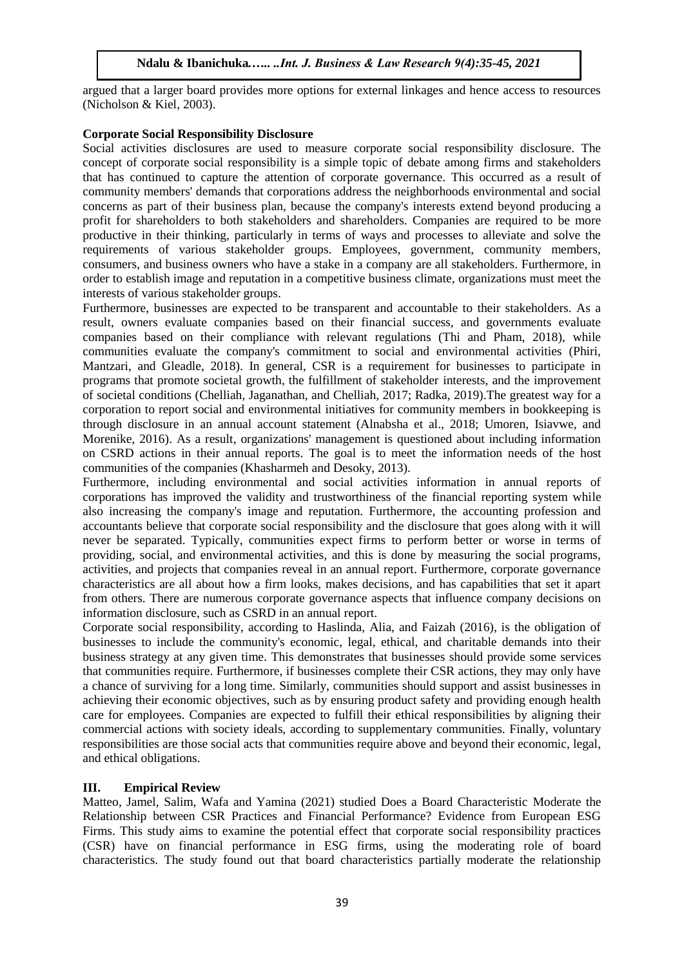argued that a larger board provides more options for external linkages and hence access to resources (Nicholson & Kiel, 2003).

#### **Corporate Social Responsibility Disclosure**

Social activities disclosures are used to measure corporate social responsibility disclosure. The concept of corporate social responsibility is a simple topic of debate among firms and stakeholders that has continued to capture the attention of corporate governance. This occurred as a result of community members' demands that corporations address the neighborhoods environmental and social concerns as part of their business plan, because the company's interests extend beyond producing a profit for shareholders to both stakeholders and shareholders. Companies are required to be more productive in their thinking, particularly in terms of ways and processes to alleviate and solve the requirements of various stakeholder groups. Employees, government, community members, consumers, and business owners who have a stake in a company are all stakeholders. Furthermore, in order to establish image and reputation in a competitive business climate, organizations must meet the interests of various stakeholder groups.

Furthermore, businesses are expected to be transparent and accountable to their stakeholders. As a result, owners evaluate companies based on their financial success, and governments evaluate companies based on their compliance with relevant regulations (Thi and Pham, 2018), while communities evaluate the company's commitment to social and environmental activities (Phiri, Mantzari, and Gleadle, 2018). In general, CSR is a requirement for businesses to participate in programs that promote societal growth, the fulfillment of stakeholder interests, and the improvement of societal conditions (Chelliah, Jaganathan, and Chelliah, 2017; Radka, 2019).The greatest way for a corporation to report social and environmental initiatives for community members in bookkeeping is through disclosure in an annual account statement (Alnabsha et al., 2018; Umoren, Isiavwe, and Morenike, 2016). As a result, organizations' management is questioned about including information on CSRD actions in their annual reports. The goal is to meet the information needs of the host communities of the companies (Khasharmeh and Desoky, 2013).

Furthermore, including environmental and social activities information in annual reports of corporations has improved the validity and trustworthiness of the financial reporting system while also increasing the company's image and reputation. Furthermore, the accounting profession and accountants believe that corporate social responsibility and the disclosure that goes along with it will never be separated. Typically, communities expect firms to perform better or worse in terms of providing, social, and environmental activities, and this is done by measuring the social programs, activities, and projects that companies reveal in an annual report. Furthermore, corporate governance characteristics are all about how a firm looks, makes decisions, and has capabilities that set it apart from others. There are numerous corporate governance aspects that influence company decisions on information disclosure, such as CSRD in an annual report.

Corporate social responsibility, according to Haslinda, Alia, and Faizah (2016), is the obligation of businesses to include the community's economic, legal, ethical, and charitable demands into their business strategy at any given time. This demonstrates that businesses should provide some services that communities require. Furthermore, if businesses complete their CSR actions, they may only have a chance of surviving for a long time. Similarly, communities should support and assist businesses in achieving their economic objectives, such as by ensuring product safety and providing enough health care for employees. Companies are expected to fulfill their ethical responsibilities by aligning their commercial actions with society ideals, according to supplementary communities. Finally, voluntary responsibilities are those social acts that communities require above and beyond their economic, legal, and ethical obligations.

## **III. Empirical Review**

Matteo, Jamel, Salim, Wafa and Yamina (2021) studied Does a Board Characteristic Moderate the Relationship between CSR Practices and Financial Performance? Evidence from European ESG Firms. This study aims to examine the potential effect that corporate social responsibility practices (CSR) have on financial performance in ESG firms, using the moderating role of board characteristics. The study found out that board characteristics partially moderate the relationship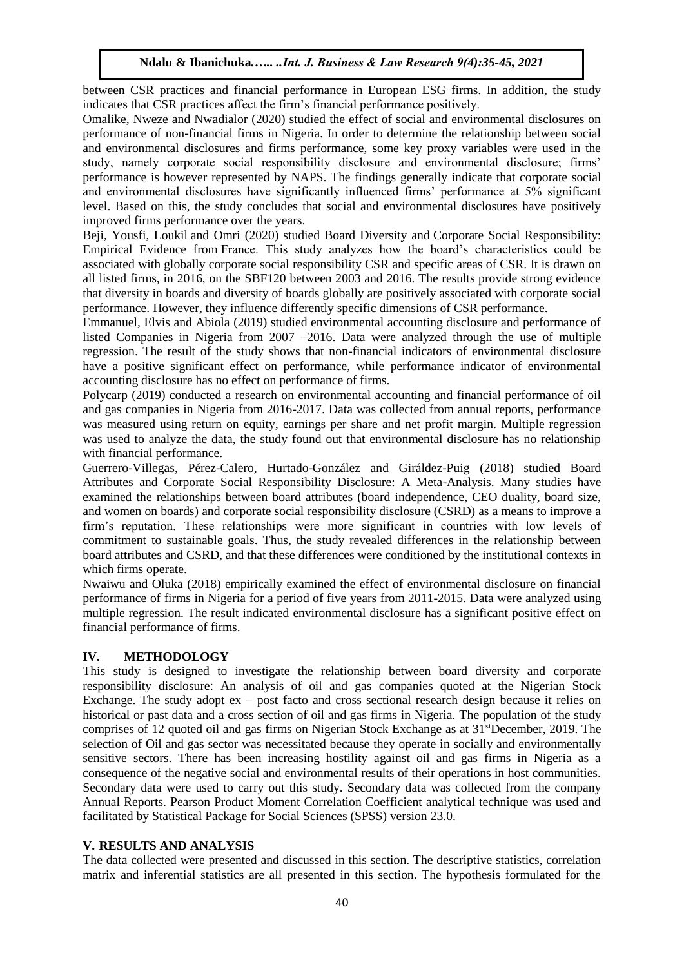between CSR practices and financial performance in European ESG firms. In addition, the study indicates that CSR practices affect the firm's financial performance positively.

Omalike, Nweze and Nwadialor (2020) studied the effect of social and environmental disclosures on performance of non-financial firms in Nigeria. In order to determine the relationship between social and environmental disclosures and firms performance, some key proxy variables were used in the study, namely corporate social responsibility disclosure and environmental disclosure; firms' performance is however represented by NAPS. The findings generally indicate that corporate social and environmental disclosures have significantly influenced firms' performance at 5% significant level. Based on this, the study concludes that social and environmental disclosures have positively improved firms performance over the years.

Beji, Yousfi, Loukil and Omri (2020) studied Board Diversity and Corporate Social Responsibility: Empirical Evidence from France. This study analyzes how the board's characteristics could be associated with globally corporate social responsibility CSR and specific areas of CSR. It is drawn on all listed firms, in 2016, on the SBF120 between 2003 and 2016. The results provide strong evidence that diversity in boards and diversity of boards globally are positively associated with corporate social performance. However, they influence differently specific dimensions of CSR performance.

Emmanuel, Elvis and Abiola (2019) studied environmental accounting disclosure and performance of listed Companies in Nigeria from 2007 –2016. Data were analyzed through the use of multiple regression. The result of the study shows that non-financial indicators of environmental disclosure have a positive significant effect on performance, while performance indicator of environmental accounting disclosure has no effect on performance of firms.

Polycarp (2019) conducted a research on environmental accounting and financial performance of oil and gas companies in Nigeria from 2016-2017. Data was collected from annual reports, performance was measured using return on equity, earnings per share and net profit margin. Multiple regression was used to analyze the data, the study found out that environmental disclosure has no relationship with financial performance.

Guerrero-Villegas, Pérez-Calero, Hurtado-González and Giráldez-Puig (2018) studied Board Attributes and Corporate Social Responsibility Disclosure: A Meta-Analysis. Many studies have examined the relationships between board attributes (board independence, CEO duality, board size, and women on boards) and corporate social responsibility disclosure (CSRD) as a means to improve a firm's reputation. These relationships were more significant in countries with low levels of commitment to sustainable goals. Thus, the study revealed differences in the relationship between board attributes and CSRD, and that these differences were conditioned by the institutional contexts in which firms operate.

Nwaiwu and Oluka (2018) empirically examined the effect of environmental disclosure on financial performance of firms in Nigeria for a period of five years from 2011-2015. Data were analyzed using multiple regression. The result indicated environmental disclosure has a significant positive effect on financial performance of firms.

## **IV. METHODOLOGY**

This study is designed to investigate the relationship between board diversity and corporate responsibility disclosure: An analysis of oil and gas companies quoted at the Nigerian Stock Exchange. The study adopt ex – post facto and cross sectional research design because it relies on historical or past data and a cross section of oil and gas firms in Nigeria. The population of the study comprises of 12 quoted oil and gas firms on Nigerian Stock Exchange as at 31<sup>st</sup>December, 2019. The selection of Oil and gas sector was necessitated because they operate in socially and environmentally sensitive sectors. There has been increasing hostility against oil and gas firms in Nigeria as a consequence of the negative social and environmental results of their operations in host communities. Secondary data were used to carry out this study. Secondary data was collected from the company Annual Reports. Pearson Product Moment Correlation Coefficient analytical technique was used and facilitated by Statistical Package for Social Sciences (SPSS) version 23.0.

## **V. RESULTS AND ANALYSIS**

The data collected were presented and discussed in this section. The descriptive statistics, correlation matrix and inferential statistics are all presented in this section. The hypothesis formulated for the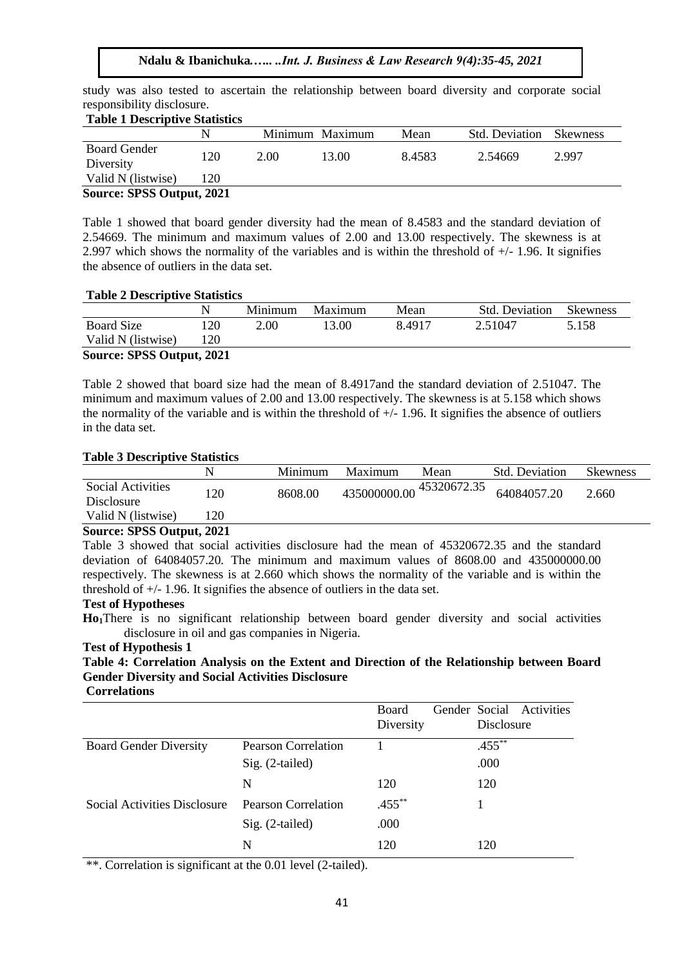study was also tested to ascertain the relationship between board diversity and corporate social responsibility disclosure.

## **Table 1 Descriptive Statistics**

|                                  |     |      | Minimum Maximum | Mean   | <b>Std.</b> Deviation | <b>Skewness</b> |
|----------------------------------|-----|------|-----------------|--------|-----------------------|-----------------|
| <b>Board Gender</b><br>Diversity | 120 | 2.00 | 13.00           | 8.4583 | 2.54669               | 2.997           |
| Valid N (listwise)               | 120 |      |                 |        |                       |                 |
| <b>Source: SPSS Output, 2021</b> |     |      |                 |        |                       |                 |

Table 1 showed that board gender diversity had the mean of 8.4583 and the standard deviation of 2.54669. The minimum and maximum values of 2.00 and 13.00 respectively. The skewness is at 2.997 which shows the normality of the variables and is within the threshold of  $+/- 1.96$ . It signifies the absence of outliers in the data set.

#### **Table 2 Descriptive Statistics**

|                                  |     | Minimum | Maximum | Mean   | <b>Std.</b> Deviation | <b>Skewness</b> |
|----------------------------------|-----|---------|---------|--------|-----------------------|-----------------|
| <b>Board Size</b>                | 20  | 2.00    | 13.00   | 8.4917 | 2.51047               | 5.158           |
| Valid N (listwise)               | 120 |         |         |        |                       |                 |
| <b>Source: SPSS Output, 2021</b> |     |         |         |        |                       |                 |

Table 2 showed that board size had the mean of 8.4917and the standard deviation of 2.51047. The minimum and maximum values of 2.00 and 13.00 respectively. The skewness is at 5.158 which shows the normality of the variable and is within the threshold of  $+/- 1.96$ . It signifies the absence of outliers in the data set.

#### **Table 3 Descriptive Statistics**

|                                               |     | Minimum | Maximum      | Mean        | <b>Std.</b> Deviation | <b>Skewness</b> |
|-----------------------------------------------|-----|---------|--------------|-------------|-----------------------|-----------------|
| <b>Social Activities</b><br><b>Disclosure</b> | 120 | 8608.00 | 435000000.00 | 45320672.35 | 64084057.20           | 2.660           |
| Valid N (listwise)                            | 120 |         |              |             |                       |                 |
| _ _ _ _ _ _ _ _                               |     |         |              |             |                       |                 |

#### **Source: SPSS Output, 2021**

Table 3 showed that social activities disclosure had the mean of 45320672.35 and the standard deviation of 64084057.20. The minimum and maximum values of 8608.00 and 435000000.00 respectively. The skewness is at 2.660 which shows the normality of the variable and is within the threshold of +/- 1.96. It signifies the absence of outliers in the data set.

#### **Test of Hypotheses**

**Ho1**There is no significant relationship between board gender diversity and social activities disclosure in oil and gas companies in Nigeria.

#### **Test of Hypothesis 1**

# **Table 4: Correlation Analysis on the Extent and Direction of the Relationship between Board Gender Diversity and Social Activities Disclosure**

**Correlations**

|                               |                            | <b>Board</b><br>Diversity | Gender Social Activities<br>Disclosure |
|-------------------------------|----------------------------|---------------------------|----------------------------------------|
| <b>Board Gender Diversity</b> | <b>Pearson Correlation</b> |                           | $.455***$                              |
|                               | $Sig. (2-tailed)$          |                           | .000                                   |
|                               | N                          | 120                       | 120                                    |
| Social Activities Disclosure  | <b>Pearson Correlation</b> | $.455***$                 |                                        |
|                               | $Sig. (2-tailed)$          | .000                      |                                        |
|                               | N                          | 120                       | 120                                    |

\*\*. Correlation is significant at the  $\overline{0.01}$  level (2-tailed).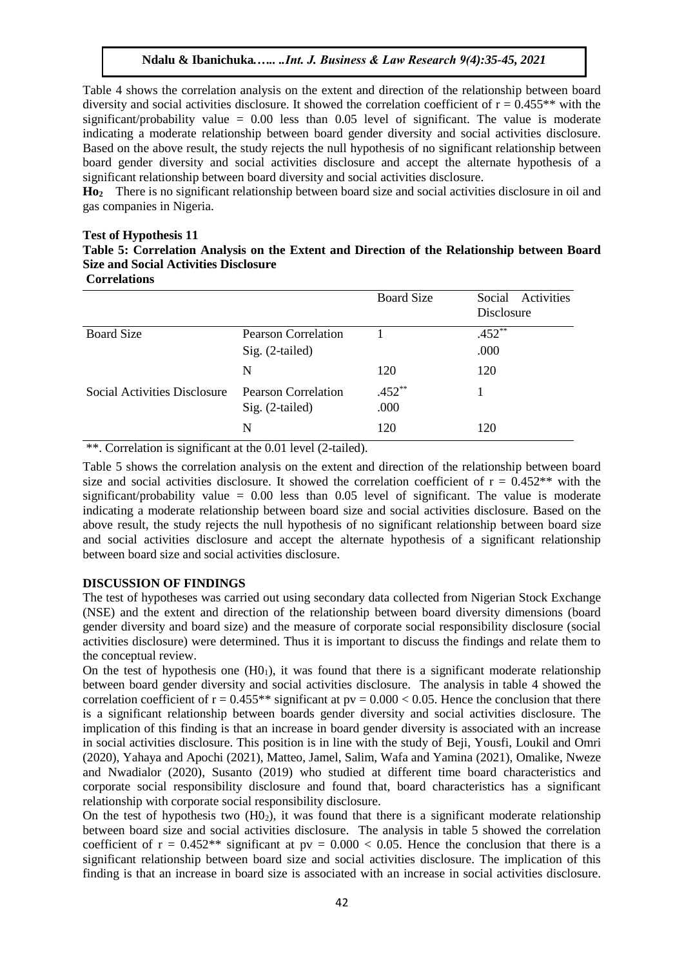Table 4 shows the correlation analysis on the extent and direction of the relationship between board diversity and social activities disclosure. It showed the correlation coefficient of  $r = 0.455**$  with the significant/probability value =  $0.00$  less than  $0.05$  level of significant. The value is moderate indicating a moderate relationship between board gender diversity and social activities disclosure. Based on the above result, the study rejects the null hypothesis of no significant relationship between board gender diversity and social activities disclosure and accept the alternate hypothesis of a significant relationship between board diversity and social activities disclosure.

**Ho2** There is no significant relationship between board size and social activities disclosure in oil and gas companies in Nigeria.

#### **Test of Hypothesis 11**

**Table 5: Correlation Analysis on the Extent and Direction of the Relationship between Board Size and Social Activities Disclosure**

**Correlations**

|                                     |                                               | <b>Board Size</b> | Social Activities<br>Disclosure |
|-------------------------------------|-----------------------------------------------|-------------------|---------------------------------|
| <b>Board Size</b>                   | Pearson Correlation<br>Sig. (2-tailed)        |                   | $.452**$<br>.000                |
|                                     | N                                             | 120               | 120                             |
| <b>Social Activities Disclosure</b> | <b>Pearson Correlation</b><br>Sig. (2-tailed) | $.452**$<br>.000  |                                 |
|                                     | N                                             | 120               | 120                             |

\*\*. Correlation is significant at the 0.01 level (2-tailed).

Table 5 shows the correlation analysis on the extent and direction of the relationship between board size and social activities disclosure. It showed the correlation coefficient of  $r = 0.452**$  with the significant/probability value =  $0.00$  less than 0.05 level of significant. The value is moderate indicating a moderate relationship between board size and social activities disclosure. Based on the above result, the study rejects the null hypothesis of no significant relationship between board size and social activities disclosure and accept the alternate hypothesis of a significant relationship between board size and social activities disclosure.

#### **DISCUSSION OF FINDINGS**

The test of hypotheses was carried out using secondary data collected from Nigerian Stock Exchange (NSE) and the extent and direction of the relationship between board diversity dimensions (board gender diversity and board size) and the measure of corporate social responsibility disclosure (social activities disclosure) were determined. Thus it is important to discuss the findings and relate them to the conceptual review.

On the test of hypothesis one  $(H0<sub>1</sub>)$ , it was found that there is a significant moderate relationship between board gender diversity and social activities disclosure. The analysis in table 4 showed the correlation coefficient of  $r = 0.455**$  significant at  $pv = 0.000 < 0.05$ . Hence the conclusion that there is a significant relationship between boards gender diversity and social activities disclosure. The implication of this finding is that an increase in board gender diversity is associated with an increase in social activities disclosure. This position is in line with the study of Beji, Yousfi, Loukil and Omri (2020), Yahaya and Apochi (2021), Matteo, Jamel, Salim, Wafa and Yamina (2021), Omalike, Nweze and Nwadialor (2020), Susanto (2019) who studied at different time board characteristics and corporate social responsibility disclosure and found that, board characteristics has a significant relationship with corporate social responsibility disclosure.

On the test of hypothesis two  $(H0<sub>2</sub>)$ , it was found that there is a significant moderate relationship between board size and social activities disclosure. The analysis in table 5 showed the correlation coefficient of  $r = 0.452**$  significant at  $pv = 0.000 < 0.05$ . Hence the conclusion that there is a significant relationship between board size and social activities disclosure. The implication of this finding is that an increase in board size is associated with an increase in social activities disclosure.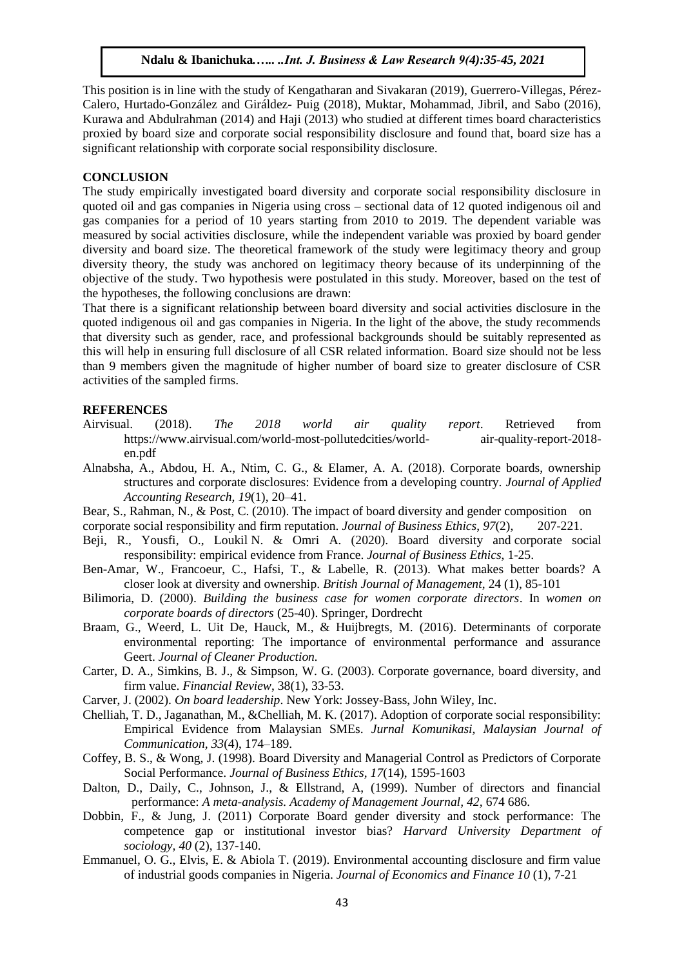This position is in line with the study of Kengatharan and Sivakaran (2019), Guerrero-Villegas, Pérez-Calero, Hurtado-González and Giráldez- Puig (2018), Muktar, Mohammad, Jibril, and Sabo (2016), Kurawa and Abdulrahman (2014) and Haji (2013) who studied at different times board characteristics proxied by board size and corporate social responsibility disclosure and found that, board size has a significant relationship with corporate social responsibility disclosure.

#### **CONCLUSION**

The study empirically investigated board diversity and corporate social responsibility disclosure in quoted oil and gas companies in Nigeria using cross – sectional data of 12 quoted indigenous oil and gas companies for a period of 10 years starting from 2010 to 2019. The dependent variable was measured by social activities disclosure, while the independent variable was proxied by board gender diversity and board size. The theoretical framework of the study were legitimacy theory and group diversity theory, the study was anchored on legitimacy theory because of its underpinning of the objective of the study. Two hypothesis were postulated in this study. Moreover, based on the test of the hypotheses, the following conclusions are drawn:

That there is a significant relationship between board diversity and social activities disclosure in the quoted indigenous oil and gas companies in Nigeria. In the light of the above, the study recommends that diversity such as gender, race, and professional backgrounds should be suitably represented as this will help in ensuring full disclosure of all CSR related information. Board size should not be less than 9 members given the magnitude of higher number of board size to greater disclosure of CSR activities of the sampled firms.

#### **REFERENCES**

- Airvisual. (2018). *The 2018 world air quality report*. Retrieved from [https://www.airvisual.com/world-most-pollutedcities/world-](https://www.airvisual.com/world-most-pollutedcities/world-%20air-quality-report-2018-%09en.pdf) air-quality-report-2018 [en.pdf](https://www.airvisual.com/world-most-pollutedcities/world-%20air-quality-report-2018-%09en.pdf)
- Alnabsha, A., Abdou, H. A., Ntim, C. G., & Elamer, A. A. (2018). Corporate boards, ownership structures and corporate disclosures: Evidence from a developing country. *Journal of Applied Accounting Research, 19*(1), 20–41.
- Bear, S., Rahman, N., & Post, C. (2010). The impact of board diversity and gender composition on corporate social responsibility and firm reputation. *Journal of Business Ethics*, *97*(2), 207-221.
- Beji, R., Yousfi, O., Loukil N. & Omri A. (2020). Board diversity and corporate social responsibility: empirical evidence from France. *Journal of Business Ethics*, 1-25.
- Ben-Amar, W., Francoeur, C., Hafsi, T., & Labelle, R. (2013). What makes better boards? A closer look at diversity and ownership. *British Journal of Management*, 24 (1), 85-101
- Bilimoria, D. (2000). *Building the business case for women corporate directors*. In *women on corporate boards of directors* (25-40). Springer, Dordrecht
- Braam, G., Weerd, L. Uit De, Hauck, M., & Huijbregts, M. (2016). Determinants of corporate environmental reporting: The importance of environmental performance and assurance Geert. *Journal of Cleaner Production.*
- Carter, D. A., Simkins, B. J., & Simpson, W. G. (2003). Corporate governance, board diversity, and firm value. *Financial Review*, 38(1), 33-53.
- Carver, J. (2002). *On board leadership*. New York: Jossey-Bass, John Wiley, Inc.
- Chelliah, T. D., Jaganathan, M., &Chelliah, M. K. (2017). Adoption of corporate social responsibility: Empirical Evidence from Malaysian SMEs. *Jurnal Komunikasi, Malaysian Journal of Communication, 33*(4), 174–189.
- Coffey, B. S., & Wong, J. (1998). Board Diversity and Managerial Control as Predictors of Corporate Social Performance. *Journal of Business Ethics, 17*(14), 1595-1603
- Dalton, D., Daily, C., Johnson, J., & Ellstrand, A, (1999). Number of directors and financial performance: *A meta-analysis. Academy of Management Journal, 42,* 674 686.
- Dobbin, F., & Jung, J. (2011) Corporate Board gender diversity and stock performance: The competence gap or institutional investor bias? *Harvard University Department of sociology, 40* (2), 137-140.
- Emmanuel, O. G., Elvis, E. & Abiola T. (2019). Environmental accounting disclosure and firm value of industrial goods companies in Nigeria. *Journal of Economics and Finance 10* (1), 7-21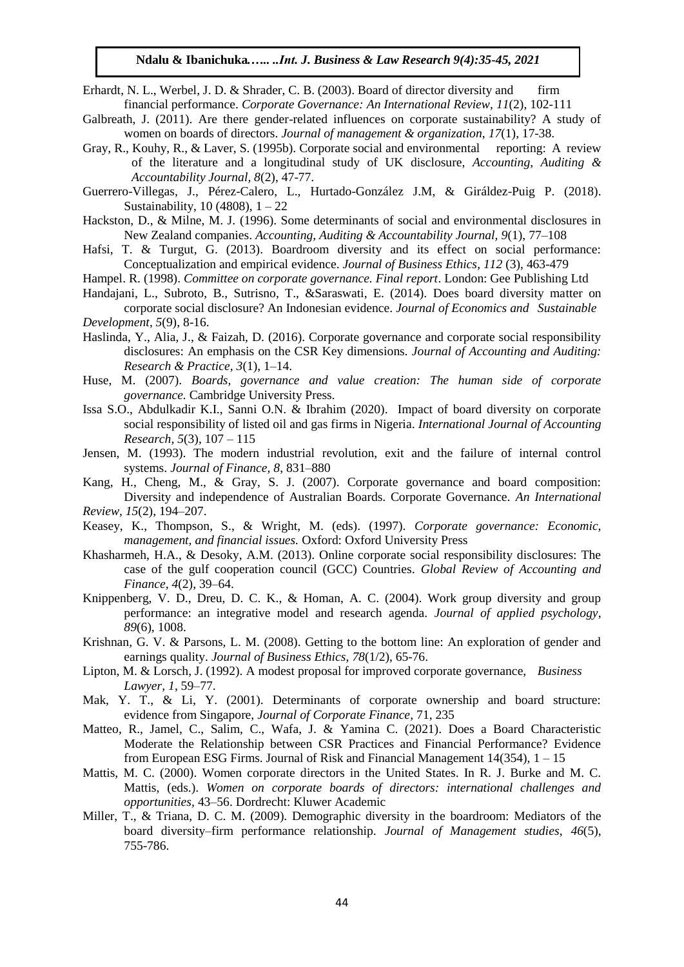Erhardt, N. L., Werbel, J. D. & Shrader, C. B. (2003). Board of director diversity and firm financial performance. *Corporate Governance: An International Review*, *11*(2), 102-111

- Galbreath, J. (2011). Are there gender-related influences on corporate sustainability? A study of women on boards of directors. *Journal of management & organization*, *17*(1), 17-38.
- Gray, R., Kouhy, R., & Laver, S. (1995b). Corporate social and environmental reporting: A review of the literature and a longitudinal study of UK disclosure, *Accounting, Auditing & Accountability Journal, 8*(2), 47-77.
- Guerrero-Villegas, J., Pérez-Calero, L., Hurtado-González J.M, & Giráldez-Puig P. (2018). Sustainability,  $10(4808)$ ,  $1 - 22$
- Hackston, D., & Milne, M. J. (1996). Some determinants of social and environmental disclosures in New Zealand companies. *Accounting, Auditing & Accountability Journal, 9*(1), 77–108
- Hafsi, T. & Turgut, G. (2013). Boardroom diversity and its effect on social performance: Conceptualization and empirical evidence. *Journal of Business Ethics*, *112* (3), 463-479
- Hampel. R. (1998). *Committee on corporate governance. Final report*. London: Gee Publishing Ltd
- Handajani, L., Subroto, B., Sutrisno, T., &Saraswati, E. (2014). Does board diversity matter on corporate social disclosure? An Indonesian evidence. *Journal of Economics and Sustainable Development*, *5*(9), 8-16.
- Haslinda, Y., Alia, J., & Faizah, D. (2016). Corporate governance and corporate social responsibility disclosures: An emphasis on the CSR Key dimensions. *Journal of Accounting and Auditing: Research & Practice, 3*(1), 1–14.
- Huse, M. (2007). *Boards, governance and value creation: The human side of corporate governance.* Cambridge University Press.
- Issa S.O., Abdulkadir K.I., Sanni O.N. & Ibrahim (2020). Impact of board diversity on corporate social responsibility of listed oil and gas firms in Nigeria. *International Journal of Accounting Research, 5*(3), 107 – 115
- Jensen, M. (1993). The modern industrial revolution, exit and the failure of internal control systems. *Journal of Finance, 8*, 831–880
- Kang, H., Cheng, M., & Gray, S. J. (2007). Corporate governance and board composition: Diversity and independence of Australian Boards. Corporate Governance. *An International Review, 15*(2), 194–207.
- Keasey, K., Thompson, S., & Wright, M. (eds). (1997). *Corporate governance: Economic, management, and financial issues.* Oxford: Oxford University Press
- Khasharmeh, H.A., & Desoky, A.M. (2013). Online corporate social responsibility disclosures: The case of the gulf cooperation council (GCC) Countries. *Global Review of Accounting and Finance, 4*(2), 39–64.
- Knippenberg, V. D., Dreu, D. C. K., & Homan, A. C. (2004). Work group diversity and group performance: an integrative model and research agenda. *Journal of applied psychology*, *89*(6), 1008.
- Krishnan, G. V. & Parsons, L. M. (2008). Getting to the bottom line: An exploration of gender and earnings quality. *Journal of Business Ethics*, *78*(1/2), 65-76.
- Lipton, M. & Lorsch, J. (1992). A modest proposal for improved corporate governance, *Business Lawyer, 1*, 59–77.
- Mak, Y. T., & Li, Y. (2001). Determinants of corporate ownership and board structure: evidence from Singapore, *Journal of Corporate Finance,* 71, 235
- Matteo, R., Jamel, C., Salim, C., Wafa, J. & Yamina C. (2021). Does a Board Characteristic Moderate the Relationship between CSR Practices and Financial Performance? Evidence from European ESG Firms. Journal of Risk and Financial Management  $14(354)$ ,  $1 - 15$
- Mattis, M. C. (2000). Women corporate directors in the United States. In R. J. Burke and M. C. Mattis, (eds.). *Women on corporate boards of directors: international challenges and opportunities,* 43–56. Dordrecht: Kluwer Academic
- Miller, T., & Triana, D. C. M. (2009). Demographic diversity in the boardroom: Mediators of the board diversity–firm performance relationship. *Journal of Management studies*, *46*(5), 755-786.